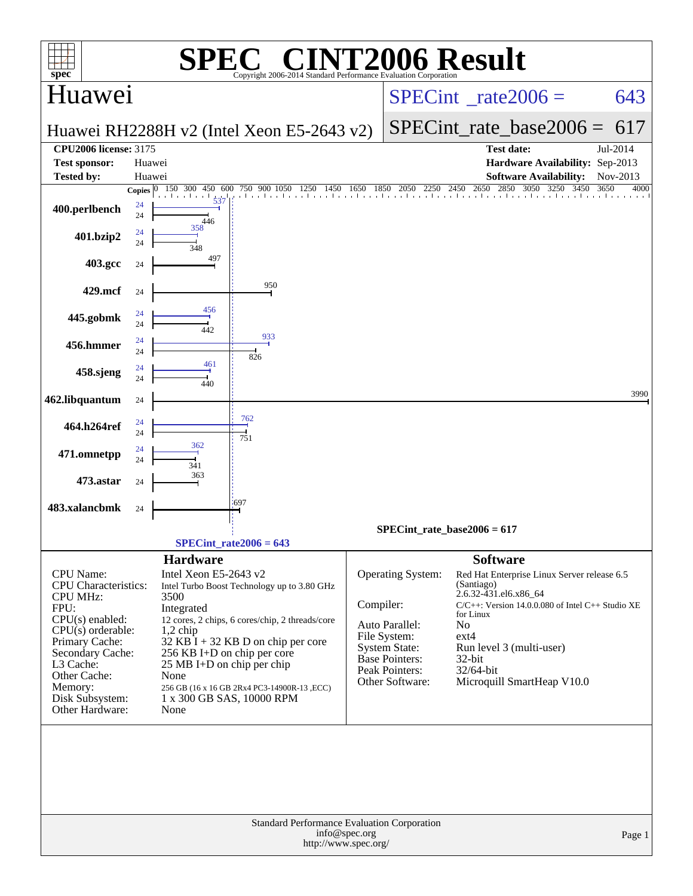| <b>INT2006 Result</b><br>$\blacksquare$<br>spec <sup>®</sup><br>Copyright 2006-2014 Standard Performance Evaluation Cornoration                                                                                                            |                          |                                                                                                                                                  |                                                                                                                                                                                                                     |                                 |                                                                                                                             |                                                                                           |                                                                                                                                                           |              |  |  |
|--------------------------------------------------------------------------------------------------------------------------------------------------------------------------------------------------------------------------------------------|--------------------------|--------------------------------------------------------------------------------------------------------------------------------------------------|---------------------------------------------------------------------------------------------------------------------------------------------------------------------------------------------------------------------|---------------------------------|-----------------------------------------------------------------------------------------------------------------------------|-------------------------------------------------------------------------------------------|-----------------------------------------------------------------------------------------------------------------------------------------------------------|--------------|--|--|
| Huawei                                                                                                                                                                                                                                     |                          |                                                                                                                                                  |                                                                                                                                                                                                                     | $SPECint^{\circ}$ rate $2006 =$ |                                                                                                                             |                                                                                           | 643                                                                                                                                                       |              |  |  |
|                                                                                                                                                                                                                                            |                          |                                                                                                                                                  | Huawei RH2288H v2 (Intel Xeon E5-2643 v2)                                                                                                                                                                           |                                 |                                                                                                                             | $SPECint_rate base2006 =$                                                                 | 617                                                                                                                                                       |              |  |  |
| <b>CPU2006 license: 3175</b>                                                                                                                                                                                                               |                          |                                                                                                                                                  |                                                                                                                                                                                                                     |                                 |                                                                                                                             |                                                                                           | <b>Test date:</b>                                                                                                                                         | Jul-2014     |  |  |
| <b>Test sponsor:</b>                                                                                                                                                                                                                       | Huawei                   |                                                                                                                                                  |                                                                                                                                                                                                                     |                                 |                                                                                                                             |                                                                                           | Hardware Availability: Sep-2013                                                                                                                           |              |  |  |
| <b>Tested by:</b>                                                                                                                                                                                                                          | Huawei                   |                                                                                                                                                  |                                                                                                                                                                                                                     |                                 |                                                                                                                             |                                                                                           | <b>Software Availability:</b>                                                                                                                             | Nov-2013     |  |  |
| 400.perlbench                                                                                                                                                                                                                              | Copies $ 0 $<br>24<br>24 | 150 300<br>450 600<br>537<br>446                                                                                                                 | 750 900 1050 1250 1450 1650 1850 2050 2250 2450 2650 2850 3050 3250 345<br>750 900 1050                                                                                                                             |                                 |                                                                                                                             |                                                                                           | 2850 3050 3250 3450                                                                                                                                       | 3650<br>4000 |  |  |
| 401.bzip2                                                                                                                                                                                                                                  | 24<br>24                 | 358<br>348                                                                                                                                       |                                                                                                                                                                                                                     |                                 |                                                                                                                             |                                                                                           |                                                                                                                                                           |              |  |  |
| 403.gcc                                                                                                                                                                                                                                    | 24                       | 497                                                                                                                                              |                                                                                                                                                                                                                     |                                 |                                                                                                                             |                                                                                           |                                                                                                                                                           |              |  |  |
| 429.mcf                                                                                                                                                                                                                                    | 24                       | 456                                                                                                                                              | 950                                                                                                                                                                                                                 |                                 |                                                                                                                             |                                                                                           |                                                                                                                                                           |              |  |  |
| 445.gobmk                                                                                                                                                                                                                                  | 24<br>24                 | 442                                                                                                                                              | 933                                                                                                                                                                                                                 |                                 |                                                                                                                             |                                                                                           |                                                                                                                                                           |              |  |  |
| 456.hmmer                                                                                                                                                                                                                                  | 24<br>24                 |                                                                                                                                                  | 826                                                                                                                                                                                                                 |                                 |                                                                                                                             |                                                                                           |                                                                                                                                                           |              |  |  |
| 458.sjeng                                                                                                                                                                                                                                  | 24<br>24                 | 461<br>440                                                                                                                                       |                                                                                                                                                                                                                     |                                 |                                                                                                                             |                                                                                           |                                                                                                                                                           |              |  |  |
| 462.libquantum                                                                                                                                                                                                                             | 24                       |                                                                                                                                                  |                                                                                                                                                                                                                     |                                 |                                                                                                                             |                                                                                           |                                                                                                                                                           | 3990         |  |  |
| 464.h264ref                                                                                                                                                                                                                                | 24<br>24                 |                                                                                                                                                  | 762<br>751                                                                                                                                                                                                          |                                 |                                                                                                                             |                                                                                           |                                                                                                                                                           |              |  |  |
| 471.omnetpp                                                                                                                                                                                                                                | 24<br>24                 | 362<br>341                                                                                                                                       |                                                                                                                                                                                                                     |                                 |                                                                                                                             |                                                                                           |                                                                                                                                                           |              |  |  |
| 473.astar                                                                                                                                                                                                                                  | 24                       | 363                                                                                                                                              |                                                                                                                                                                                                                     |                                 |                                                                                                                             |                                                                                           |                                                                                                                                                           |              |  |  |
| 483.xalancbmk                                                                                                                                                                                                                              | 24                       |                                                                                                                                                  | 697                                                                                                                                                                                                                 |                                 |                                                                                                                             |                                                                                           |                                                                                                                                                           |              |  |  |
|                                                                                                                                                                                                                                            |                          |                                                                                                                                                  | $SPECint_rate2006 = 643$                                                                                                                                                                                            |                                 | $SPECint_rate_base2006 = 617$                                                                                               |                                                                                           |                                                                                                                                                           |              |  |  |
|                                                                                                                                                                                                                                            |                          | <b>Hardware</b>                                                                                                                                  |                                                                                                                                                                                                                     |                                 |                                                                                                                             | <b>Software</b>                                                                           |                                                                                                                                                           |              |  |  |
| <b>CPU</b> Name:<br><b>CPU</b> Characteristics:<br><b>CPU MHz:</b><br>FPU:<br>$CPU(s)$ enabled:<br>$CPU(s)$ orderable:<br>Primary Cache:<br>Secondary Cache:<br>L3 Cache:<br>Other Cache:<br>Memory:<br>Disk Subsystem:<br>Other Hardware: |                          | Intel Xeon E5-2643 v2<br>3500<br>Integrated<br>$1,2$ chip<br>256 KB I+D on chip per core<br>$25 \text{ MB I+D}$ on chip per chip<br>None<br>None | Intel Turbo Boost Technology up to 3.80 GHz<br>12 cores, 2 chips, 6 cores/chip, 2 threads/core<br>$32$ KB I + 32 KB D on chip per core<br>256 GB (16 x 16 GB 2Rx4 PC3-14900R-13 , ECC)<br>1 x 300 GB SAS, 10000 RPM | Compiler:                       | Operating System:<br>Auto Parallel:<br>File System:<br>System State:<br>Base Pointers:<br>Peak Pointers:<br>Other Software: | (Santiago)<br>2.6.32-431.el6.x86_64<br>for Linux<br>No<br>$ext{4}$<br>32-bit<br>32/64-bit | Red Hat Enterprise Linux Server release 6.5<br>C/C++: Version 14.0.0.080 of Intel C++ Studio XE<br>Run level 3 (multi-user)<br>Microquill SmartHeap V10.0 |              |  |  |
|                                                                                                                                                                                                                                            |                          |                                                                                                                                                  | Standard Performance Evaluation Corporation                                                                                                                                                                         |                                 |                                                                                                                             |                                                                                           |                                                                                                                                                           |              |  |  |
|                                                                                                                                                                                                                                            |                          |                                                                                                                                                  | http://www.spec.org/                                                                                                                                                                                                | info@spec.org                   |                                                                                                                             |                                                                                           |                                                                                                                                                           | Page 1       |  |  |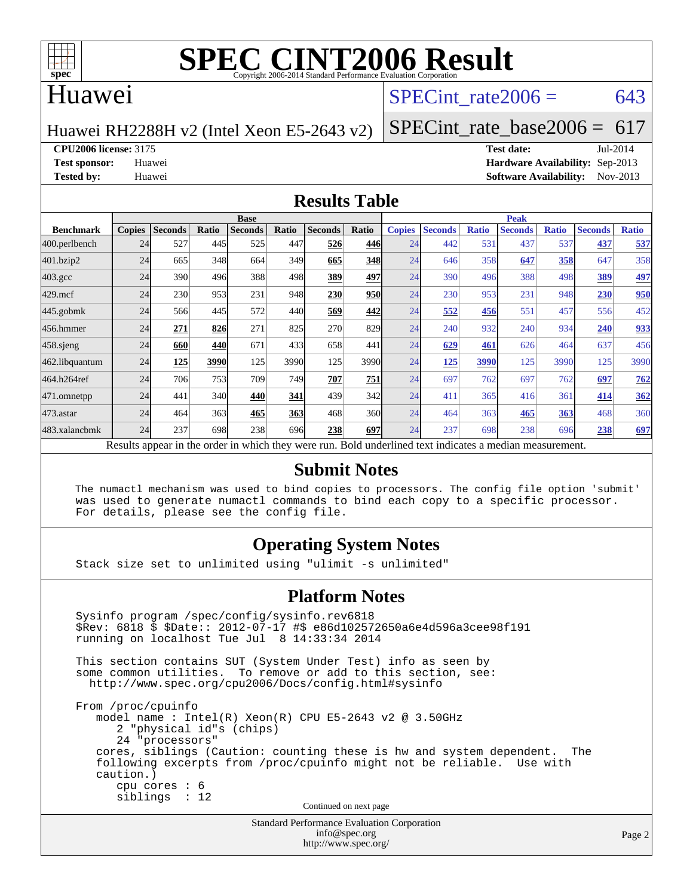

## Huawei

## SPECint rate $2006 = 643$

Huawei RH2288H v2 (Intel Xeon E5-2643 v2)

[SPECint\\_rate\\_base2006 =](http://www.spec.org/auto/cpu2006/Docs/result-fields.html#SPECintratebase2006)  $617$ 

**[CPU2006 license:](http://www.spec.org/auto/cpu2006/Docs/result-fields.html#CPU2006license)** 3175 **[Test date:](http://www.spec.org/auto/cpu2006/Docs/result-fields.html#Testdate)** Jul-2014

**[Test sponsor:](http://www.spec.org/auto/cpu2006/Docs/result-fields.html#Testsponsor)** Huawei **[Hardware Availability:](http://www.spec.org/auto/cpu2006/Docs/result-fields.html#HardwareAvailability)** Sep-2013 **[Tested by:](http://www.spec.org/auto/cpu2006/Docs/result-fields.html#Testedby)** Huawei **[Software Availability:](http://www.spec.org/auto/cpu2006/Docs/result-fields.html#SoftwareAvailability)** Nov-2013

#### **[Results Table](http://www.spec.org/auto/cpu2006/Docs/result-fields.html#ResultsTable)**

|                                                                                                          | <b>Base</b>   |                |       |                |       |                |            | <b>Peak</b>   |                |              |                |              |                |              |
|----------------------------------------------------------------------------------------------------------|---------------|----------------|-------|----------------|-------|----------------|------------|---------------|----------------|--------------|----------------|--------------|----------------|--------------|
| <b>Benchmark</b>                                                                                         | <b>Copies</b> | <b>Seconds</b> | Ratio | <b>Seconds</b> | Ratio | <b>Seconds</b> | Ratio      | <b>Copies</b> | <b>Seconds</b> | <b>Ratio</b> | <b>Seconds</b> | <b>Ratio</b> | <b>Seconds</b> | <b>Ratio</b> |
| 400.perlbench                                                                                            | 24            | 527            | 445   | 525            | 447   | 526            | 446        | 24            | 442            | 531          | 437            | 537          | 437            | 537          |
| 401.bzip2                                                                                                | 24            | 665            | 348   | 664            | 349   | 665            | 348        | 24            | 646            | 358          | 647            | 358          | 647            | 358          |
| $403.\mathrm{gcc}$                                                                                       | 24            | 390            | 496   | 388            | 498   | 389            | 497        | 24            | 390            | 496          | 388            | 498          | 389            | 497          |
| $429$ .mcf                                                                                               | 24            | 230            | 953   | 231            | 948   | 230            | <b>950</b> | 24            | 230            | 953          | 231            | 948          | 230            | 950          |
| $445$ .gobmk                                                                                             | 24            | 566            | 445   | 572            | 440   | 569            | 442        | 24            | 552            | 456          | 551            | 457          | 556            | 452          |
| 456.hmmer                                                                                                | 24            | 271            | 826   | 271            | 825   | 270            | 829        | 24            | 240            | 932          | 240            | 934          | 240            | 933          |
| $458$ .sjeng                                                                                             | 24            | 660            | 440   | 671            | 433   | 658            | 441        | 24            | 629            | 461          | 626            | 464          | 637            | 456          |
| 462.libquantum                                                                                           | 24            | 125            | 3990  | 125            | 3990  | 125            | 3990       | 24            | <u>125</u>     | 3990         | 125            | 3990         | 125            | 3990         |
| 464.h264ref                                                                                              | 24            | 706            | 753   | 709            | 749   | 707            | 751        | 24            | 697            | 762          | 697            | 762          | 697            | 762          |
| 471.omnetpp                                                                                              | 24            | 441            | 340   | 440            | 341   | 439            | 342        | 24            | 411            | 365          | 416            | 361          | 414            | 362          |
| 473.astar                                                                                                | 24            | 464            | 363   | 465            | 363   | 468            | 360l       | 24            | 464            | 363          | 465            | 363          | 468            | 360          |
| 483.xalancbmk                                                                                            | 24            | 237            | 698   | 238            | 696   | 238            | 697        | 24            | 237            | 698          | 238            | 696          | 238            | <u>697</u>   |
| Results appear in the order in which they were run. Bold underlined text indicates a median measurement. |               |                |       |                |       |                |            |               |                |              |                |              |                |              |

#### **[Submit Notes](http://www.spec.org/auto/cpu2006/Docs/result-fields.html#SubmitNotes)**

 The numactl mechanism was used to bind copies to processors. The config file option 'submit' was used to generate numactl commands to bind each copy to a specific processor. For details, please see the config file.

### **[Operating System Notes](http://www.spec.org/auto/cpu2006/Docs/result-fields.html#OperatingSystemNotes)**

Stack size set to unlimited using "ulimit -s unlimited"

#### **[Platform Notes](http://www.spec.org/auto/cpu2006/Docs/result-fields.html#PlatformNotes)**

```
Standard Performance Evaluation Corporation
 Sysinfo program /spec/config/sysinfo.rev6818
 $Rev: 6818 $ $Date:: 2012-07-17 #$ e86d102572650a6e4d596a3cee98f191
 running on localhost Tue Jul 8 14:33:34 2014
 This section contains SUT (System Under Test) info as seen by
some common utilities. To remove or add to this section, see:
  http://www.spec.org/cpu2006/Docs/config.html#sysinfo
 From /proc/cpuinfo
    model name : Intel(R) Xeon(R) CPU E5-2643 v2 @ 3.50GHz
       2 "physical id"s (chips)
       24 "processors"
    cores, siblings (Caution: counting these is hw and system dependent. The
    following excerpts from /proc/cpuinfo might not be reliable. Use with
    caution.)
       cpu cores : 6
       siblings : 12
                                   Continued on next page
```
[info@spec.org](mailto:info@spec.org) <http://www.spec.org/>

Page 2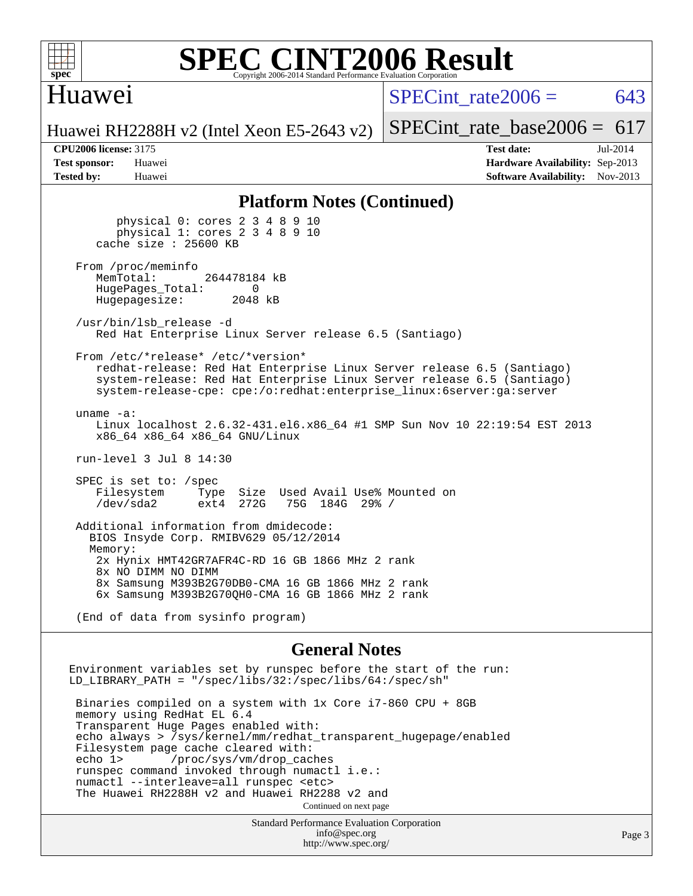

#### **[SPEC CINT2006 Result](http://www.spec.org/auto/cpu2006/Docs/result-fields.html#SPECCINT2006Result)** Copyright 2006-2014 Standard Performance Evaluation C

# Huawei

SPECint rate $2006 = 643$ 

[SPECint\\_rate\\_base2006 =](http://www.spec.org/auto/cpu2006/Docs/result-fields.html#SPECintratebase2006)  $617$ 

Huawei RH2288H v2 (Intel Xeon E5-2643 v2)

**[CPU2006 license:](http://www.spec.org/auto/cpu2006/Docs/result-fields.html#CPU2006license)** 3175 **[Test date:](http://www.spec.org/auto/cpu2006/Docs/result-fields.html#Testdate)** Jul-2014 **[Test sponsor:](http://www.spec.org/auto/cpu2006/Docs/result-fields.html#Testsponsor)** Huawei **[Hardware Availability:](http://www.spec.org/auto/cpu2006/Docs/result-fields.html#HardwareAvailability)** Sep-2013 **[Tested by:](http://www.spec.org/auto/cpu2006/Docs/result-fields.html#Testedby)** Huawei **[Software Availability:](http://www.spec.org/auto/cpu2006/Docs/result-fields.html#SoftwareAvailability)** Nov-2013

#### **[Platform Notes \(Continued\)](http://www.spec.org/auto/cpu2006/Docs/result-fields.html#PlatformNotes)**

 physical 0: cores 2 3 4 8 9 10 physical 1: cores 2 3 4 8 9 10 cache size : 25600 KB From /proc/meminfo<br>MemTotal: 264478184 kB HugePages\_Total: 0<br>Hugepagesize: 2048 kB Hugepagesize: /usr/bin/lsb\_release -d Red Hat Enterprise Linux Server release 6.5 (Santiago) From /etc/\*release\* /etc/\*version\* redhat-release: Red Hat Enterprise Linux Server release 6.5 (Santiago) system-release: Red Hat Enterprise Linux Server release 6.5 (Santiago) system-release-cpe: cpe:/o:redhat:enterprise\_linux:6server:ga:server uname -a: Linux localhost 2.6.32-431.el6.x86\_64 #1 SMP Sun Nov 10 22:19:54 EST 2013 x86\_64 x86\_64 x86\_64 GNU/Linux run-level 3 Jul 8 14:30 SPEC is set to: /spec Filesystem Type Size Used Avail Use% Mounted on<br>
/dev/sda2 ext4 272G 75G 184G 29% / 75G 184G 29% / Additional information from dmidecode: BIOS Insyde Corp. RMIBV629 05/12/2014 Memory: 2x Hynix HMT42GR7AFR4C-RD 16 GB 1866 MHz 2 rank 8x NO DIMM NO DIMM 8x Samsung M393B2G70DB0-CMA 16 GB 1866 MHz 2 rank 6x Samsung M393B2G70QH0-CMA 16 GB 1866 MHz 2 rank

(End of data from sysinfo program)

#### **[General Notes](http://www.spec.org/auto/cpu2006/Docs/result-fields.html#GeneralNotes)**

Environment variables set by runspec before the start of the run: LD LIBRARY PATH = "/spec/libs/32:/spec/libs/64:/spec/sh" Binaries compiled on a system with 1x Core i7-860 CPU + 8GB memory using RedHat EL 6.4 Transparent Huge Pages enabled with: echo always > /sys/kernel/mm/redhat\_transparent\_hugepage/enabled Filesystem page cache cleared with: echo 1> /proc/sys/vm/drop\_caches runspec command invoked through numactl i.e.: numactl --interleave=all runspec <etc> The Huawei RH2288H v2 and Huawei RH2288 v2 and Continued on next page

Standard Performance Evaluation Corporation [info@spec.org](mailto:info@spec.org) <http://www.spec.org/>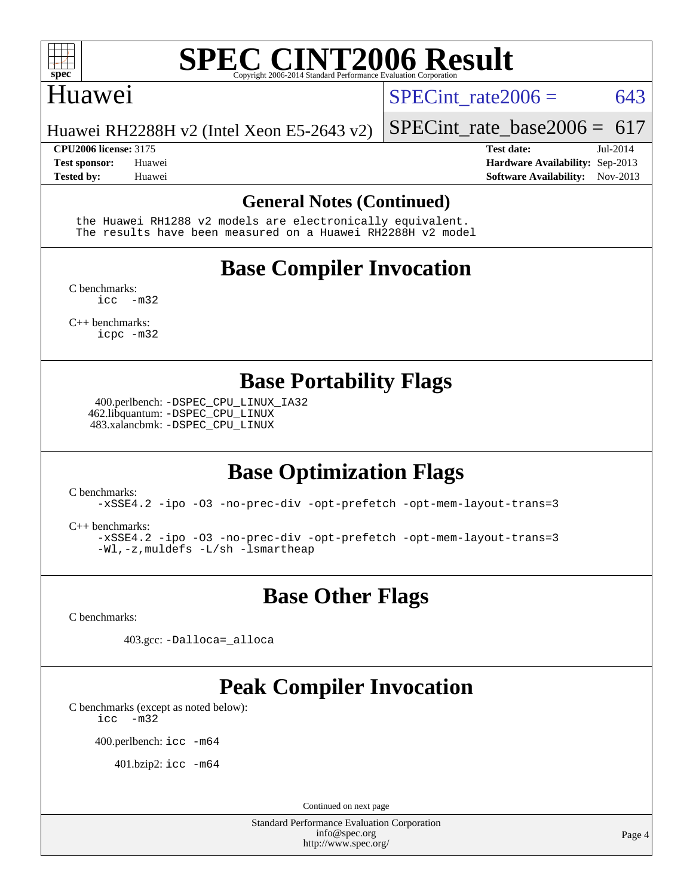

### Huawei

SPECint rate  $2006 = 643$ 

Huawei RH2288H v2 (Intel Xeon E5-2643 v2)

**[Tested by:](http://www.spec.org/auto/cpu2006/Docs/result-fields.html#Testedby)** Huawei **[Software Availability:](http://www.spec.org/auto/cpu2006/Docs/result-fields.html#SoftwareAvailability)** Nov-2013

**[CPU2006 license:](http://www.spec.org/auto/cpu2006/Docs/result-fields.html#CPU2006license)** 3175 **[Test date:](http://www.spec.org/auto/cpu2006/Docs/result-fields.html#Testdate)** Jul-2014 **[Test sponsor:](http://www.spec.org/auto/cpu2006/Docs/result-fields.html#Testsponsor)** Huawei **[Hardware Availability:](http://www.spec.org/auto/cpu2006/Docs/result-fields.html#HardwareAvailability)** Sep-2013

[SPECint\\_rate\\_base2006 =](http://www.spec.org/auto/cpu2006/Docs/result-fields.html#SPECintratebase2006) 617

#### **[General Notes \(Continued\)](http://www.spec.org/auto/cpu2006/Docs/result-fields.html#GeneralNotes)**

 the Huawei RH1288 v2 models are electronically equivalent. The results have been measured on a Huawei RH2288H v2 model

# **[Base Compiler Invocation](http://www.spec.org/auto/cpu2006/Docs/result-fields.html#BaseCompilerInvocation)**

[C benchmarks](http://www.spec.org/auto/cpu2006/Docs/result-fields.html#Cbenchmarks):  $inc -m32$ 

[C++ benchmarks:](http://www.spec.org/auto/cpu2006/Docs/result-fields.html#CXXbenchmarks) [icpc -m32](http://www.spec.org/cpu2006/results/res2014q3/cpu2006-20140710-30374.flags.html#user_CXXbase_intel_icpc_4e5a5ef1a53fd332b3c49e69c3330699)

**[Base Portability Flags](http://www.spec.org/auto/cpu2006/Docs/result-fields.html#BasePortabilityFlags)**

 400.perlbench: [-DSPEC\\_CPU\\_LINUX\\_IA32](http://www.spec.org/cpu2006/results/res2014q3/cpu2006-20140710-30374.flags.html#b400.perlbench_baseCPORTABILITY_DSPEC_CPU_LINUX_IA32) 462.libquantum: [-DSPEC\\_CPU\\_LINUX](http://www.spec.org/cpu2006/results/res2014q3/cpu2006-20140710-30374.flags.html#b462.libquantum_baseCPORTABILITY_DSPEC_CPU_LINUX) 483.xalancbmk: [-DSPEC\\_CPU\\_LINUX](http://www.spec.org/cpu2006/results/res2014q3/cpu2006-20140710-30374.flags.html#b483.xalancbmk_baseCXXPORTABILITY_DSPEC_CPU_LINUX)

# **[Base Optimization Flags](http://www.spec.org/auto/cpu2006/Docs/result-fields.html#BaseOptimizationFlags)**

[C benchmarks](http://www.spec.org/auto/cpu2006/Docs/result-fields.html#Cbenchmarks):

[-xSSE4.2](http://www.spec.org/cpu2006/results/res2014q3/cpu2006-20140710-30374.flags.html#user_CCbase_f-xSSE42_f91528193cf0b216347adb8b939d4107) [-ipo](http://www.spec.org/cpu2006/results/res2014q3/cpu2006-20140710-30374.flags.html#user_CCbase_f-ipo) [-O3](http://www.spec.org/cpu2006/results/res2014q3/cpu2006-20140710-30374.flags.html#user_CCbase_f-O3) [-no-prec-div](http://www.spec.org/cpu2006/results/res2014q3/cpu2006-20140710-30374.flags.html#user_CCbase_f-no-prec-div) [-opt-prefetch](http://www.spec.org/cpu2006/results/res2014q3/cpu2006-20140710-30374.flags.html#user_CCbase_f-opt-prefetch) [-opt-mem-layout-trans=3](http://www.spec.org/cpu2006/results/res2014q3/cpu2006-20140710-30374.flags.html#user_CCbase_f-opt-mem-layout-trans_a7b82ad4bd7abf52556d4961a2ae94d5)

[C++ benchmarks:](http://www.spec.org/auto/cpu2006/Docs/result-fields.html#CXXbenchmarks)

[-xSSE4.2](http://www.spec.org/cpu2006/results/res2014q3/cpu2006-20140710-30374.flags.html#user_CXXbase_f-xSSE42_f91528193cf0b216347adb8b939d4107) [-ipo](http://www.spec.org/cpu2006/results/res2014q3/cpu2006-20140710-30374.flags.html#user_CXXbase_f-ipo) [-O3](http://www.spec.org/cpu2006/results/res2014q3/cpu2006-20140710-30374.flags.html#user_CXXbase_f-O3) [-no-prec-div](http://www.spec.org/cpu2006/results/res2014q3/cpu2006-20140710-30374.flags.html#user_CXXbase_f-no-prec-div) [-opt-prefetch](http://www.spec.org/cpu2006/results/res2014q3/cpu2006-20140710-30374.flags.html#user_CXXbase_f-opt-prefetch) [-opt-mem-layout-trans=3](http://www.spec.org/cpu2006/results/res2014q3/cpu2006-20140710-30374.flags.html#user_CXXbase_f-opt-mem-layout-trans_a7b82ad4bd7abf52556d4961a2ae94d5) [-Wl,-z,muldefs](http://www.spec.org/cpu2006/results/res2014q3/cpu2006-20140710-30374.flags.html#user_CXXbase_link_force_multiple1_74079c344b956b9658436fd1b6dd3a8a) [-L/sh -lsmartheap](http://www.spec.org/cpu2006/results/res2014q3/cpu2006-20140710-30374.flags.html#user_CXXbase_SmartHeap_32f6c82aa1ed9c52345d30cf6e4a0499)

### **[Base Other Flags](http://www.spec.org/auto/cpu2006/Docs/result-fields.html#BaseOtherFlags)**

[C benchmarks](http://www.spec.org/auto/cpu2006/Docs/result-fields.html#Cbenchmarks):

403.gcc: [-Dalloca=\\_alloca](http://www.spec.org/cpu2006/results/res2014q3/cpu2006-20140710-30374.flags.html#b403.gcc_baseEXTRA_CFLAGS_Dalloca_be3056838c12de2578596ca5467af7f3)

# **[Peak Compiler Invocation](http://www.spec.org/auto/cpu2006/Docs/result-fields.html#PeakCompilerInvocation)**

[C benchmarks \(except as noted below\)](http://www.spec.org/auto/cpu2006/Docs/result-fields.html#Cbenchmarksexceptasnotedbelow):

[icc -m32](http://www.spec.org/cpu2006/results/res2014q3/cpu2006-20140710-30374.flags.html#user_CCpeak_intel_icc_5ff4a39e364c98233615fdd38438c6f2)

400.perlbench: [icc -m64](http://www.spec.org/cpu2006/results/res2014q3/cpu2006-20140710-30374.flags.html#user_peakCCLD400_perlbench_intel_icc_64bit_bda6cc9af1fdbb0edc3795bac97ada53)

401.bzip2: [icc -m64](http://www.spec.org/cpu2006/results/res2014q3/cpu2006-20140710-30374.flags.html#user_peakCCLD401_bzip2_intel_icc_64bit_bda6cc9af1fdbb0edc3795bac97ada53)

Continued on next page

Standard Performance Evaluation Corporation [info@spec.org](mailto:info@spec.org) <http://www.spec.org/>

Page 4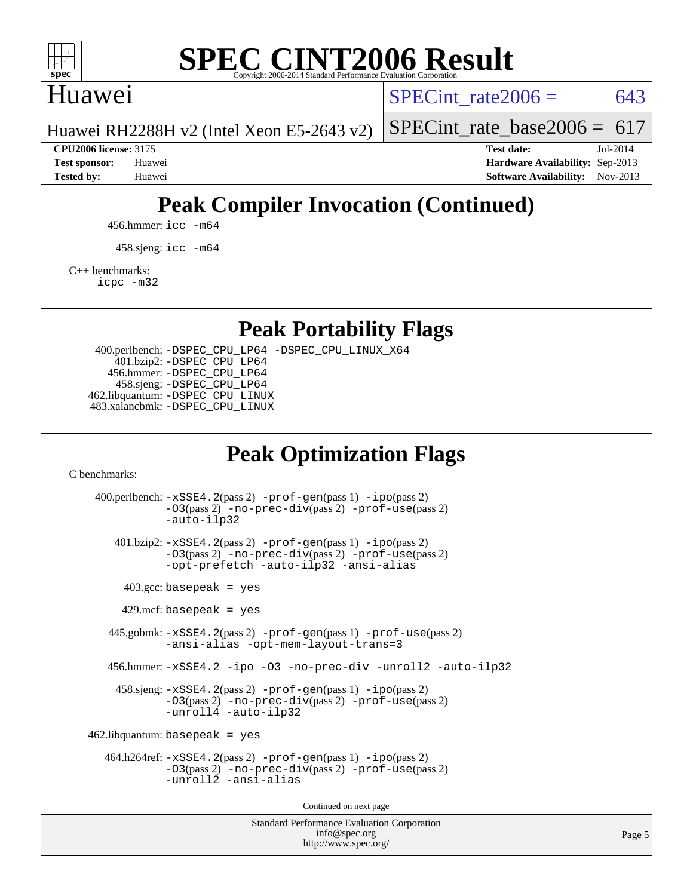

# Huawei

SPECint rate $2006 = 643$ 

[SPECint\\_rate\\_base2006 =](http://www.spec.org/auto/cpu2006/Docs/result-fields.html#SPECintratebase2006)  $617$ 

Huawei RH2288H v2 (Intel Xeon E5-2643 v2)

**[CPU2006 license:](http://www.spec.org/auto/cpu2006/Docs/result-fields.html#CPU2006license)** 3175 **[Test date:](http://www.spec.org/auto/cpu2006/Docs/result-fields.html#Testdate)** Jul-2014 **[Test sponsor:](http://www.spec.org/auto/cpu2006/Docs/result-fields.html#Testsponsor)** Huawei **[Hardware Availability:](http://www.spec.org/auto/cpu2006/Docs/result-fields.html#HardwareAvailability)** Sep-2013 **[Tested by:](http://www.spec.org/auto/cpu2006/Docs/result-fields.html#Testedby)** Huawei **[Software Availability:](http://www.spec.org/auto/cpu2006/Docs/result-fields.html#SoftwareAvailability)** Nov-2013

# **[Peak Compiler Invocation \(Continued\)](http://www.spec.org/auto/cpu2006/Docs/result-fields.html#PeakCompilerInvocation)**

456.hmmer: [icc -m64](http://www.spec.org/cpu2006/results/res2014q3/cpu2006-20140710-30374.flags.html#user_peakCCLD456_hmmer_intel_icc_64bit_bda6cc9af1fdbb0edc3795bac97ada53)

458.sjeng: [icc -m64](http://www.spec.org/cpu2006/results/res2014q3/cpu2006-20140710-30374.flags.html#user_peakCCLD458_sjeng_intel_icc_64bit_bda6cc9af1fdbb0edc3795bac97ada53)

[C++ benchmarks:](http://www.spec.org/auto/cpu2006/Docs/result-fields.html#CXXbenchmarks)

[icpc -m32](http://www.spec.org/cpu2006/results/res2014q3/cpu2006-20140710-30374.flags.html#user_CXXpeak_intel_icpc_4e5a5ef1a53fd332b3c49e69c3330699)

**[Peak Portability Flags](http://www.spec.org/auto/cpu2006/Docs/result-fields.html#PeakPortabilityFlags)**

 400.perlbench: [-DSPEC\\_CPU\\_LP64](http://www.spec.org/cpu2006/results/res2014q3/cpu2006-20140710-30374.flags.html#b400.perlbench_peakCPORTABILITY_DSPEC_CPU_LP64) [-DSPEC\\_CPU\\_LINUX\\_X64](http://www.spec.org/cpu2006/results/res2014q3/cpu2006-20140710-30374.flags.html#b400.perlbench_peakCPORTABILITY_DSPEC_CPU_LINUX_X64) 401.bzip2: [-DSPEC\\_CPU\\_LP64](http://www.spec.org/cpu2006/results/res2014q3/cpu2006-20140710-30374.flags.html#suite_peakCPORTABILITY401_bzip2_DSPEC_CPU_LP64) 456.hmmer: [-DSPEC\\_CPU\\_LP64](http://www.spec.org/cpu2006/results/res2014q3/cpu2006-20140710-30374.flags.html#suite_peakCPORTABILITY456_hmmer_DSPEC_CPU_LP64) 458.sjeng: [-DSPEC\\_CPU\\_LP64](http://www.spec.org/cpu2006/results/res2014q3/cpu2006-20140710-30374.flags.html#suite_peakCPORTABILITY458_sjeng_DSPEC_CPU_LP64) 462.libquantum: [-DSPEC\\_CPU\\_LINUX](http://www.spec.org/cpu2006/results/res2014q3/cpu2006-20140710-30374.flags.html#b462.libquantum_peakCPORTABILITY_DSPEC_CPU_LINUX) 483.xalancbmk: [-DSPEC\\_CPU\\_LINUX](http://www.spec.org/cpu2006/results/res2014q3/cpu2006-20140710-30374.flags.html#b483.xalancbmk_peakCXXPORTABILITY_DSPEC_CPU_LINUX)

# **[Peak Optimization Flags](http://www.spec.org/auto/cpu2006/Docs/result-fields.html#PeakOptimizationFlags)**

[C benchmarks](http://www.spec.org/auto/cpu2006/Docs/result-fields.html#Cbenchmarks):

Standard Performance Evaluation Corporation 400.perlbench: [-xSSE4.2](http://www.spec.org/cpu2006/results/res2014q3/cpu2006-20140710-30374.flags.html#user_peakPASS2_CFLAGSPASS2_LDCFLAGS400_perlbench_f-xSSE42_f91528193cf0b216347adb8b939d4107)(pass 2) [-prof-gen](http://www.spec.org/cpu2006/results/res2014q3/cpu2006-20140710-30374.flags.html#user_peakPASS1_CFLAGSPASS1_LDCFLAGS400_perlbench_prof_gen_e43856698f6ca7b7e442dfd80e94a8fc)(pass 1) [-ipo](http://www.spec.org/cpu2006/results/res2014q3/cpu2006-20140710-30374.flags.html#user_peakPASS2_CFLAGSPASS2_LDCFLAGS400_perlbench_f-ipo)(pass 2) [-O3](http://www.spec.org/cpu2006/results/res2014q3/cpu2006-20140710-30374.flags.html#user_peakPASS2_CFLAGSPASS2_LDCFLAGS400_perlbench_f-O3)(pass 2) [-no-prec-div](http://www.spec.org/cpu2006/results/res2014q3/cpu2006-20140710-30374.flags.html#user_peakPASS2_CFLAGSPASS2_LDCFLAGS400_perlbench_f-no-prec-div)(pass 2) [-prof-use](http://www.spec.org/cpu2006/results/res2014q3/cpu2006-20140710-30374.flags.html#user_peakPASS2_CFLAGSPASS2_LDCFLAGS400_perlbench_prof_use_bccf7792157ff70d64e32fe3e1250b55)(pass 2) [-auto-ilp32](http://www.spec.org/cpu2006/results/res2014q3/cpu2006-20140710-30374.flags.html#user_peakCOPTIMIZE400_perlbench_f-auto-ilp32) 401.bzip2: [-xSSE4.2](http://www.spec.org/cpu2006/results/res2014q3/cpu2006-20140710-30374.flags.html#user_peakPASS2_CFLAGSPASS2_LDCFLAGS401_bzip2_f-xSSE42_f91528193cf0b216347adb8b939d4107)(pass 2) [-prof-gen](http://www.spec.org/cpu2006/results/res2014q3/cpu2006-20140710-30374.flags.html#user_peakPASS1_CFLAGSPASS1_LDCFLAGS401_bzip2_prof_gen_e43856698f6ca7b7e442dfd80e94a8fc)(pass 1) [-ipo](http://www.spec.org/cpu2006/results/res2014q3/cpu2006-20140710-30374.flags.html#user_peakPASS2_CFLAGSPASS2_LDCFLAGS401_bzip2_f-ipo)(pass 2) [-O3](http://www.spec.org/cpu2006/results/res2014q3/cpu2006-20140710-30374.flags.html#user_peakPASS2_CFLAGSPASS2_LDCFLAGS401_bzip2_f-O3)(pass 2) [-no-prec-div](http://www.spec.org/cpu2006/results/res2014q3/cpu2006-20140710-30374.flags.html#user_peakPASS2_CFLAGSPASS2_LDCFLAGS401_bzip2_f-no-prec-div)(pass 2) [-prof-use](http://www.spec.org/cpu2006/results/res2014q3/cpu2006-20140710-30374.flags.html#user_peakPASS2_CFLAGSPASS2_LDCFLAGS401_bzip2_prof_use_bccf7792157ff70d64e32fe3e1250b55)(pass 2) [-opt-prefetch](http://www.spec.org/cpu2006/results/res2014q3/cpu2006-20140710-30374.flags.html#user_peakCOPTIMIZE401_bzip2_f-opt-prefetch) [-auto-ilp32](http://www.spec.org/cpu2006/results/res2014q3/cpu2006-20140710-30374.flags.html#user_peakCOPTIMIZE401_bzip2_f-auto-ilp32) [-ansi-alias](http://www.spec.org/cpu2006/results/res2014q3/cpu2006-20140710-30374.flags.html#user_peakCOPTIMIZE401_bzip2_f-ansi-alias)  $403.\text{gcc: basepeak}$  = yes  $429$ .mcf: basepeak = yes 445.gobmk: [-xSSE4.2](http://www.spec.org/cpu2006/results/res2014q3/cpu2006-20140710-30374.flags.html#user_peakPASS2_CFLAGSPASS2_LDCFLAGS445_gobmk_f-xSSE42_f91528193cf0b216347adb8b939d4107)(pass 2) [-prof-gen](http://www.spec.org/cpu2006/results/res2014q3/cpu2006-20140710-30374.flags.html#user_peakPASS1_CFLAGSPASS1_LDCFLAGS445_gobmk_prof_gen_e43856698f6ca7b7e442dfd80e94a8fc)(pass 1) [-prof-use](http://www.spec.org/cpu2006/results/res2014q3/cpu2006-20140710-30374.flags.html#user_peakPASS2_CFLAGSPASS2_LDCFLAGS445_gobmk_prof_use_bccf7792157ff70d64e32fe3e1250b55)(pass 2) [-ansi-alias](http://www.spec.org/cpu2006/results/res2014q3/cpu2006-20140710-30374.flags.html#user_peakCOPTIMIZE445_gobmk_f-ansi-alias) [-opt-mem-layout-trans=3](http://www.spec.org/cpu2006/results/res2014q3/cpu2006-20140710-30374.flags.html#user_peakCOPTIMIZE445_gobmk_f-opt-mem-layout-trans_a7b82ad4bd7abf52556d4961a2ae94d5) 456.hmmer: [-xSSE4.2](http://www.spec.org/cpu2006/results/res2014q3/cpu2006-20140710-30374.flags.html#user_peakCOPTIMIZE456_hmmer_f-xSSE42_f91528193cf0b216347adb8b939d4107) [-ipo](http://www.spec.org/cpu2006/results/res2014q3/cpu2006-20140710-30374.flags.html#user_peakCOPTIMIZE456_hmmer_f-ipo) [-O3](http://www.spec.org/cpu2006/results/res2014q3/cpu2006-20140710-30374.flags.html#user_peakCOPTIMIZE456_hmmer_f-O3) [-no-prec-div](http://www.spec.org/cpu2006/results/res2014q3/cpu2006-20140710-30374.flags.html#user_peakCOPTIMIZE456_hmmer_f-no-prec-div) [-unroll2](http://www.spec.org/cpu2006/results/res2014q3/cpu2006-20140710-30374.flags.html#user_peakCOPTIMIZE456_hmmer_f-unroll_784dae83bebfb236979b41d2422d7ec2) [-auto-ilp32](http://www.spec.org/cpu2006/results/res2014q3/cpu2006-20140710-30374.flags.html#user_peakCOPTIMIZE456_hmmer_f-auto-ilp32) 458.sjeng: [-xSSE4.2](http://www.spec.org/cpu2006/results/res2014q3/cpu2006-20140710-30374.flags.html#user_peakPASS2_CFLAGSPASS2_LDCFLAGS458_sjeng_f-xSSE42_f91528193cf0b216347adb8b939d4107)(pass 2) [-prof-gen](http://www.spec.org/cpu2006/results/res2014q3/cpu2006-20140710-30374.flags.html#user_peakPASS1_CFLAGSPASS1_LDCFLAGS458_sjeng_prof_gen_e43856698f6ca7b7e442dfd80e94a8fc)(pass 1) [-ipo](http://www.spec.org/cpu2006/results/res2014q3/cpu2006-20140710-30374.flags.html#user_peakPASS2_CFLAGSPASS2_LDCFLAGS458_sjeng_f-ipo)(pass 2) [-O3](http://www.spec.org/cpu2006/results/res2014q3/cpu2006-20140710-30374.flags.html#user_peakPASS2_CFLAGSPASS2_LDCFLAGS458_sjeng_f-O3)(pass 2) [-no-prec-div](http://www.spec.org/cpu2006/results/res2014q3/cpu2006-20140710-30374.flags.html#user_peakPASS2_CFLAGSPASS2_LDCFLAGS458_sjeng_f-no-prec-div)(pass 2) [-prof-use](http://www.spec.org/cpu2006/results/res2014q3/cpu2006-20140710-30374.flags.html#user_peakPASS2_CFLAGSPASS2_LDCFLAGS458_sjeng_prof_use_bccf7792157ff70d64e32fe3e1250b55)(pass 2) [-unroll4](http://www.spec.org/cpu2006/results/res2014q3/cpu2006-20140710-30374.flags.html#user_peakCOPTIMIZE458_sjeng_f-unroll_4e5e4ed65b7fd20bdcd365bec371b81f) [-auto-ilp32](http://www.spec.org/cpu2006/results/res2014q3/cpu2006-20140710-30374.flags.html#user_peakCOPTIMIZE458_sjeng_f-auto-ilp32)  $462$ .libquantum: basepeak = yes 464.h264ref: [-xSSE4.2](http://www.spec.org/cpu2006/results/res2014q3/cpu2006-20140710-30374.flags.html#user_peakPASS2_CFLAGSPASS2_LDCFLAGS464_h264ref_f-xSSE42_f91528193cf0b216347adb8b939d4107)(pass 2) [-prof-gen](http://www.spec.org/cpu2006/results/res2014q3/cpu2006-20140710-30374.flags.html#user_peakPASS1_CFLAGSPASS1_LDCFLAGS464_h264ref_prof_gen_e43856698f6ca7b7e442dfd80e94a8fc)(pass 1) [-ipo](http://www.spec.org/cpu2006/results/res2014q3/cpu2006-20140710-30374.flags.html#user_peakPASS2_CFLAGSPASS2_LDCFLAGS464_h264ref_f-ipo)(pass 2) [-O3](http://www.spec.org/cpu2006/results/res2014q3/cpu2006-20140710-30374.flags.html#user_peakPASS2_CFLAGSPASS2_LDCFLAGS464_h264ref_f-O3)(pass 2) [-no-prec-div](http://www.spec.org/cpu2006/results/res2014q3/cpu2006-20140710-30374.flags.html#user_peakPASS2_CFLAGSPASS2_LDCFLAGS464_h264ref_f-no-prec-div)(pass 2) [-prof-use](http://www.spec.org/cpu2006/results/res2014q3/cpu2006-20140710-30374.flags.html#user_peakPASS2_CFLAGSPASS2_LDCFLAGS464_h264ref_prof_use_bccf7792157ff70d64e32fe3e1250b55)(pass 2) [-unroll2](http://www.spec.org/cpu2006/results/res2014q3/cpu2006-20140710-30374.flags.html#user_peakCOPTIMIZE464_h264ref_f-unroll_784dae83bebfb236979b41d2422d7ec2) [-ansi-alias](http://www.spec.org/cpu2006/results/res2014q3/cpu2006-20140710-30374.flags.html#user_peakCOPTIMIZE464_h264ref_f-ansi-alias) Continued on next page

[info@spec.org](mailto:info@spec.org) <http://www.spec.org/>